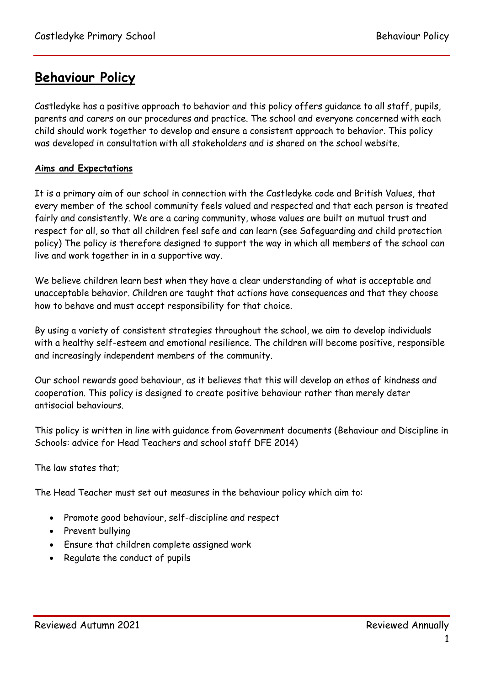# **Behaviour Policy**

Castledyke has a positive approach to behavior and this policy offers guidance to all staff, pupils, parents and carers on our procedures and practice. The school and everyone concerned with each child should work together to develop and ensure a consistent approach to behavior. This policy was developed in consultation with all stakeholders and is shared on the school website.

## **Aims and Expectations**

It is a primary aim of our school in connection with the Castledyke code and British Values, that every member of the school community feels valued and respected and that each person is treated fairly and consistently. We are a caring community, whose values are built on mutual trust and respect for all, so that all children feel safe and can learn (see Safeguarding and child protection policy) The policy is therefore designed to support the way in which all members of the school can live and work together in in a supportive way.

We believe children learn best when they have a clear understanding of what is acceptable and unacceptable behavior. Children are taught that actions have consequences and that they choose how to behave and must accept responsibility for that choice.

By using a variety of consistent strategies throughout the school, we aim to develop individuals with a healthy self-esteem and emotional resilience. The children will become positive, responsible and increasingly independent members of the community.

Our school rewards good behaviour, as it believes that this will develop an ethos of kindness and cooperation. This policy is designed to create positive behaviour rather than merely deter antisocial behaviours.

This policy is written in line with guidance from Government documents (Behaviour and Discipline in Schools: advice for Head Teachers and school staff DFE 2014)

The law states that;

The Head Teacher must set out measures in the behaviour policy which aim to:

- Promote good behaviour, self-discipline and respect
- Prevent bullying
- Ensure that children complete assigned work
- Regulate the conduct of pupils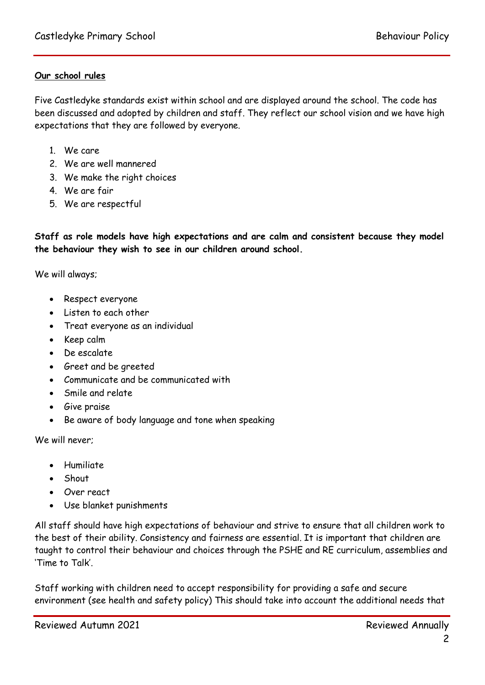## **Our school rules**

Five Castledyke standards exist within school and are displayed around the school. The code has been discussed and adopted by children and staff. They reflect our school vision and we have high expectations that they are followed by everyone.

- 1. We care
- 2. We are well mannered
- 3. We make the right choices
- 4. We are fair
- 5. We are respectful

**Staff as role models have high expectations and are calm and consistent because they model the behaviour they wish to see in our children around school.**

We will always;

- Respect everyone
- Listen to each other
- Treat everyone as an individual
- $\bullet$  Keep calm
- De escalate
- Greet and be greeted
- Communicate and be communicated with
- Smile and relate
- **•** Give praise
- Be aware of body language and tone when speaking

We will never;

- Humiliate
- Shout
- Over react
- Use blanket punishments

All staff should have high expectations of behaviour and strive to ensure that all children work to the best of their ability. Consistency and fairness are essential. It is important that children are taught to control their behaviour and choices through the PSHE and RE curriculum, assemblies and 'Time to Talk'.

Staff working with children need to accept responsibility for providing a safe and secure environment (see health and safety policy) This should take into account the additional needs that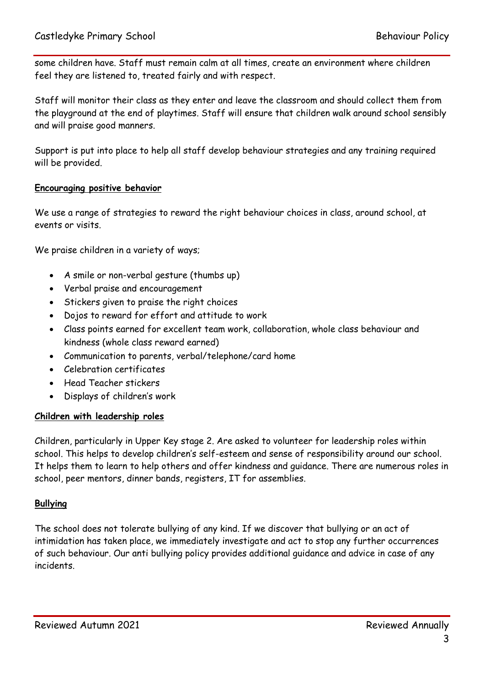some children have. Staff must remain calm at all times, create an environment where children feel they are listened to, treated fairly and with respect.

Staff will monitor their class as they enter and leave the classroom and should collect them from the playground at the end of playtimes. Staff will ensure that children walk around school sensibly and will praise good manners.

Support is put into place to help all staff develop behaviour strategies and any training required will be provided.

## **Encouraging positive behavior**

We use a range of strategies to reward the right behaviour choices in class, around school, at events or visits.

We praise children in a variety of ways;

- A smile or non-verbal gesture (thumbs up)
- Verbal praise and encouragement
- Stickers given to praise the right choices
- Dojos to reward for effort and attitude to work
- Class points earned for excellent team work, collaboration, whole class behaviour and kindness (whole class reward earned)
- Communication to parents, verbal/telephone/card home
- Celebration certificates
- Head Teacher stickers
- Displays of children's work

#### **Children with leadership roles**

Children, particularly in Upper Key stage 2. Are asked to volunteer for leadership roles within school. This helps to develop children's self-esteem and sense of responsibility around our school. It helps them to learn to help others and offer kindness and guidance. There are numerous roles in school, peer mentors, dinner bands, registers, IT for assemblies.

#### **Bullying**

The school does not tolerate bullying of any kind. If we discover that bullying or an act of intimidation has taken place, we immediately investigate and act to stop any further occurrences of such behaviour. Our anti bullying policy provides additional guidance and advice in case of any incidents.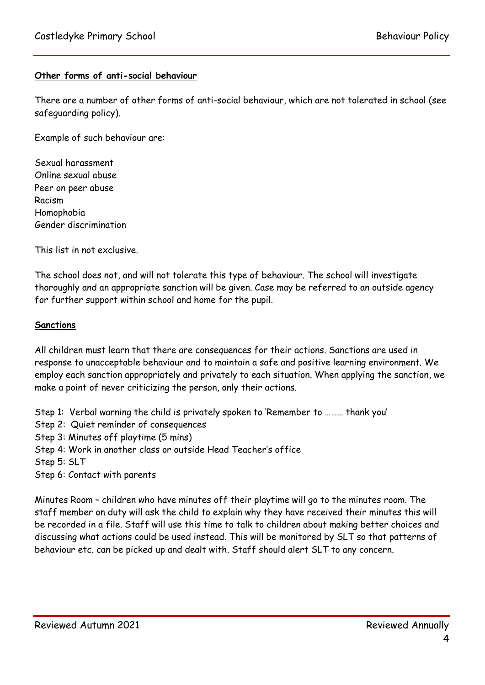## **Other forms of anti-social behaviour**

There are a number of other forms of anti-social behaviour, which are not tolerated in school (see safeguarding policy).

Example of such behaviour are:

Sexual harassment Online sexual abuse Peer on peer abuse Racism Homophobia Gender discrimination

This list in not exclusive.

The school does not, and will not tolerate this type of behaviour. The school will investigate thoroughly and an appropriate sanction will be given. Case may be referred to an outside agency for further support within school and home for the pupil.

#### **Sanctions**

All children must learn that there are consequences for their actions. Sanctions are used in response to unacceptable behaviour and to maintain a safe and positive learning environment. We employ each sanction appropriately and privately to each situation. When applying the sanction, we make a point of never criticizing the person, only their actions.

Step 1: Verbal warning the child is privately spoken to 'Remember to ……… thank you'

Step 2: Quiet reminder of consequences

Step 3: Minutes off playtime (5 mins)

Step 4: Work in another class or outside Head Teacher's office

Step 5: SLT

Step 6: Contact with parents

Minutes Room – children who have minutes off their playtime will go to the minutes room. The staff member on duty will ask the child to explain why they have received their minutes this will be recorded in a file. Staff will use this time to talk to children about making better choices and discussing what actions could be used instead. This will be monitored by SLT so that patterns of behaviour etc. can be picked up and dealt with. Staff should alert SLT to any concern.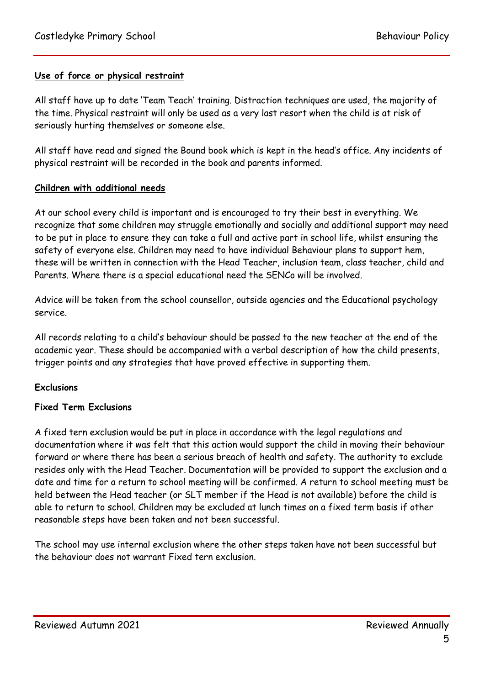## **Use of force or physical restraint**

All staff have up to date 'Team Teach' training. Distraction techniques are used, the majority of the time. Physical restraint will only be used as a very last resort when the child is at risk of seriously hurting themselves or someone else.

All staff have read and signed the Bound book which is kept in the head's office. Any incidents of physical restraint will be recorded in the book and parents informed.

#### **Children with additional needs**

At our school every child is important and is encouraged to try their best in everything. We recognize that some children may struggle emotionally and socially and additional support may need to be put in place to ensure they can take a full and active part in school life, whilst ensuring the safety of everyone else. Children may need to have individual Behaviour plans to support hem, these will be written in connection with the Head Teacher, inclusion team, class teacher, child and Parents. Where there is a special educational need the SENCo will be involved.

Advice will be taken from the school counsellor, outside agencies and the Educational psychology service.

All records relating to a child's behaviour should be passed to the new teacher at the end of the academic year. These should be accompanied with a verbal description of how the child presents, trigger points and any strategies that have proved effective in supporting them.

## **Exclusions**

#### **Fixed Term Exclusions**

A fixed tern exclusion would be put in place in accordance with the legal regulations and documentation where it was felt that this action would support the child in moving their behaviour forward or where there has been a serious breach of health and safety. The authority to exclude resides only with the Head Teacher. Documentation will be provided to support the exclusion and a date and time for a return to school meeting will be confirmed. A return to school meeting must be held between the Head teacher (or SLT member if the Head is not available) before the child is able to return to school. Children may be excluded at lunch times on a fixed term basis if other reasonable steps have been taken and not been successful.

The school may use internal exclusion where the other steps taken have not been successful but the behaviour does not warrant Fixed tern exclusion.